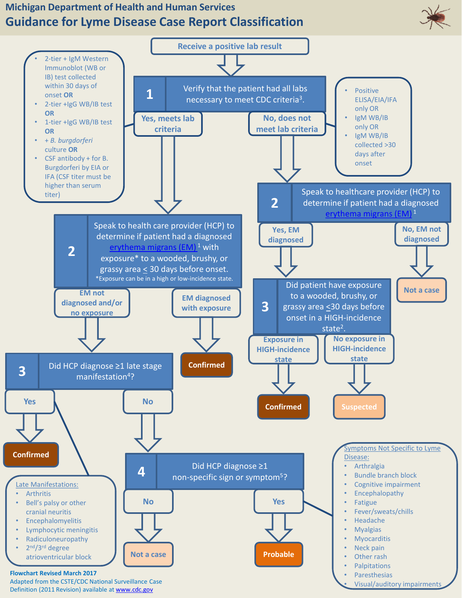## **Michigan Department of Health and Human Services Guidance for Lyme Disease Case Report Classification**



• Visual/auditory impairments

Adapted from the CSTE/CDC National Surveillance Case Definition (2011 Revision) available at [www.cdc.gov](http://www.cdc.gov/)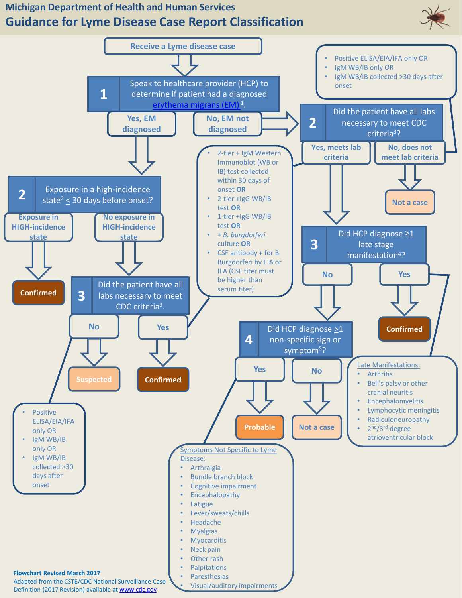## **Michigan Department of Health and Human Services Guidance for Lyme Disease Case Report Classification**